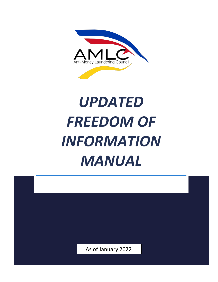

# *UPDATED* **FREEDOM OF** *INFORMATION MANUAL*

As of January 2022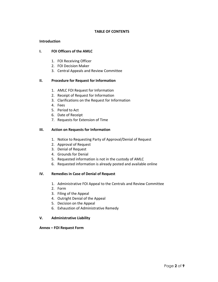# **TABLE OF CONTENTS**

#### **Introduction**

#### **I. FOI Officers of the AMLC**

- 1. FOI Receiving Officer
- 2. FOI Decision Maker
- 3. Central Appeals and Review Committee

# **II. Procedure for Request for Information**

- 1. AMLC FOI Request for Information
- 2. Receipt of Request for Information
- 3. Clarifications on the Request for Information
- 4. Fees
- 5. Period to Act
- 6. Date of Receipt
- 7. Requests for Extension of Time

# **III. Action on Requests for Information**

- 1. Notice to Requesting Party of Approval/Denial of Request
- 2. Approval of Request
- 3. Denial of Request
- 4. Grounds for Denial
- 5. Requested information is not in the custody of AMLC
- 6. Requested information is already posted and available online

#### **IV. Remedies in Case of Denial of Request**

- 1. Administrative FOI Appeal to the Centrals and Review Committee
- 2. Form
- 3. Filing of the Appeal
- 4. Outright Denial of the Appeal
- 5. Decision on the Appeal
- 6. Exhaustion of Administrative Remedy

#### **V. Administrative Liability**

#### **Annex – FOI Request Form**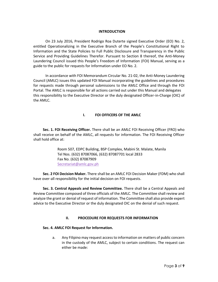#### **INTRODUCTION**

On 23 July 2016, President Rodrigo Roa Duterte signed Executive Order (EO) No. 2, entitled Operationalizing in the Executive Branch of the People's Constitutional Right to Information and the State Policies to Full Public Disclosure and Transparency in the Public Service and Providing Guidelines Therefor. Pursuant to Section 8 thereof, the Anti-Money Laundering Council issued this People's Freedom of Information (FOI) Manual, serving as a guide to the public for requests for Information under EO No. 2.

In accordance with FOI Memorandum Circular No. 21-02, the Anti-Money Laundering Council (AMLC) issues this updated FOI Manual incorporating the guidelines and procedures for requests made through personal submissions to the AMLC Office and through the FOI Portal. The AMLC is responsible for all actions carried out under this Manual and delegates this responsibility to the Executive Director or the duly designated Officer-in-Charge (OIC) of the AMLC.

#### **I. FOI OFFICERS OF THE AMLC**

**Sec. 1. FOI Receiving Officer.** There shall be an AMLC FOI Receiving Officer (FRO) who shall receive on behalf of the AMLC, all requests for information. The FOI Receiving Officer shall hold office at:

> Room 507, EDPC Building, BSP Complex, Mabini St. Malate, Manila Tel Nos. (632) 87087066, (632) 87087701 local 2833 Fax No. (632) 87087909 Secretariat@amlc.gov.ph

**Sec. 2 FOI Decision Maker.** There shall be an AMLC FOI Decision Maker (FDM) who shall have over-all responsibility for the initial decision on FOI requests.

**Sec. 3. Central Appeals and Review Committee.** There shall be a Central Appeals and Review Committee composed of three officials of the AMLC. The Committee shall review and analyze the grant or denial of request of information. The Committee shall also provide expert advice to the Executive Director or the duly designated OIC on the denial of such request.

#### **II. PROCEDURE FOR REQUESTS FOR INFORMATION**

#### **Sec. 4. AMLC FOI Request for Information.**

a. Any Filipino may request access to information on matters of public concern in the custody of the AMLC, subject to certain conditions. The request can either be made: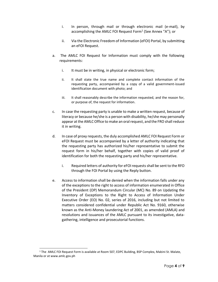- i. In person, through mail or through electronic mail (e-mail), by accomplishing the AMLC FOI Request Form<sup>1</sup> (See Annex "A"); or
- ii. Via the Electronic Freedom of Information (eFOI) Portal, by submitting an eFOI Request.
- a. The AMLC FOI Request for Information must comply with the following requirements:
	- i. It must be in writing, in physical or electronic form;
	- ii. It shall state the true name and complete contact information of the requesting party, accompanied by a copy of a valid government-issued identification document with photo; and
	- iii. It shall reasonably describe the information requested, and the reason for, or purpose of, the request for information.
- c. In case the requesting party is unable to make a written request, because of literacy or because he/she is a person with disability, he/she may personally appear at the AMLC Office to make an oral request, and the FRO shall reduce it in writing.
- d. In case of proxy requests, the duly accomplished AMLC FOI Request Form or eFOI Request must be accompanied by a letter of authority indicating that the requesting party has authorized his/her representative to submit the request form in his/her behalf, together with copies of valid proof of identification for both the requesting party and his/her representative.
	- i. Required letters of authority for eFOI requests shall be sent to the RFO through the FOI Portal by using the Reply button.
- e. Access to information shall be denied when the information falls under any of the exceptions to the right to access of information enumerated in Office of the President (OP) Memorandum Circular (MC) No. 89 on Updating the Inventory of Exceptions to the Right to Access of Information Under Executive Order (EO) No. 02, series of 2016, including but not limited to matters considered confidential under Republic Act No. 9160, otherwise known as the Anti-Money laundering Act of 2001, as amended (AMLA) and resolutions and issuances of the AMLC pursuant to its investigative, datagathering, intelligence and prosecutorial functions.

<sup>&</sup>lt;sup>1</sup> The AMLC FOI Request Form is available at Room 507, EDPC Building, BSP Complex, Mabini St. Malate, Manila or at www.amlc.gov.ph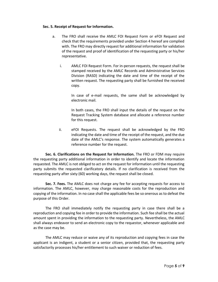#### **Sec. 5. Receipt of Request for Information.**

- a. The FRO shall receive the AMLC FOI Request Form or eFOI Request and check that the requirements provided under Section 4 hereof are complied with. The FRO may directly request for additional information for validation of the request and proof of identification of the requesting party or his/her representative.
	- i. AMLC FOI Request Form. For in-person requests, the request shall be stamped received by the AMLC Records and Administrative Services Division (RASD) indicating the date and time of the receipt of the written request. The requesting party shall be furnished the received copy.

In case of e-mail requests, the same shall be acknowledged by electronic mail.

In both cases, the FRO shall input the details of the request on the Request Tracking System database and allocate a reference number for this request.

ii. eFOI Requests. The request shall be acknowledged by the FRO indicating the date and time of the receipt of the request, and the due date of the AMLC's response. The system automatically generates a reference number for the request.

**Sec. 6. Clarifications on the Request for Information.** The FRO or FDM may require the requesting party additional information in order to identify and locate the information requested. The AMLC is not obliged to act on the request for information until the requesting party submits the requested clarificatory details. If no clarification is received from the requesting party after sixty (60) working days, the request shall be closed.

**Sec. 7. Fees.** The AMLC does not charge any fee for accepting requests for access to information. The AMLC, however, may charge reasonable costs for the reproduction and copying of the information. In no case shall the applicable fees be so onerous as to defeat the purpose of this Order.

The FRO shall immediately notify the requesting party in case there shall be a reproduction and copying fee in order to provide the information. Such fee shall be the actual amount spent in providing the information to the requesting party. Nevertheless, the AMLC shall always endeavor to send an electronic copy to the requestor, whenever applicable and as the case may be.

The AMLC may reduce or waive any of its reproduction and copying fees in case the applicant is an indigent, a student or a senior citizen, provided that, the requesting party satisfactorily processes his/her entitlement to such waiver or reduction of fees.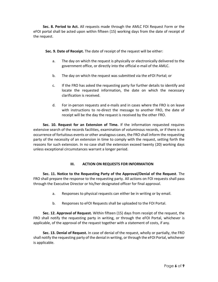**Sec. 8. Period to Act.** All requests made through the AMLC FOI Request Form or the eFOI portal shall be acted upon within fifteen (15) working days from the date of receipt of the request.

**Sec. 9. Date of Receipt.** The date of receipt of the request will be either:

- a. The day on which the request is physically or electronically delivered to the government office, or directly into the official e-mail of the AMLC.
- b. The day on which the request was submitted via the eFOI Portal; or
- c. If the FRO has asked the requesting party for further details to identify and locate the requested information, the date on which the necessary clarification is received.
- d. For in-person requests and e-mails and in cases where the FRO is on leave with instructions to re-direct the message to another FRO, the date of receipt will be the day the request is received by the other FRO.

**Sec. 10. Request for an Extension of Time.** If the information requested requires extensive search of the records facilities, examination of voluminous records, or if there is an occurrence of fortuitous events or other analogous cases, the FRO shall inform the requesting party of the necessity of an extension in time to comply with the request, setting forth the reasons for such extension. In no case shall the extension exceed twenty (20) working days unless exceptional circumstances warrant a longer period.

# **III. ACTION ON REQUESTS FOR INFORMATION**

**Sec. 11. Notice to the Requesting Party of the Approval/Denial of the Request**. The FRO shall prepare the response to the requesting party. All actions on FOI requests shall pass through the Executive Director or his/her designated officer for final approval.

- a. Responses to physical requests can either be in writing or by email.
- b. Responses to eFOI Requests shall be uploaded to the FOI Portal.

**Sec. 12. Approval of Request.** Within fifteen (15) days from receipt of the request, the FRO shall notify the requesting party in writing, or through the eFOI Portal, whichever is applicable, of the approval of the request together with a statement of costs, if any.

**Sec. 13. Denial of Request.** In case of denial of the request, wholly or partially, the FRO shall notify the requesting party of the denial in writing, or through the eFOI Portal, whichever is applicable.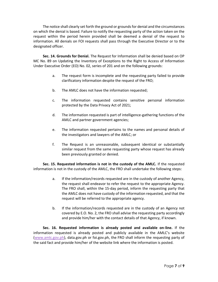The notice shall clearly set forth the ground or grounds for denial and the circumstances on which the denial is based. Failure to notify the requesting party of the action taken on the request within the period herein provided shall be deemed a denial of the request to information. All denials on FOI requests shall pass through the Executive Director or to the designated officer.

**Sec. 14. Grounds for Denial.** The Request for Information shall be denied based on OP MC No. 89 on Updating the Inventory of Exceptions to the Right to Access of Information Under Executive Order (EO) No. 02, series of 201 and on the following grounds:

- a. The request form is incomplete and the requesting party failed to provide clarificatory information despite the request of the FRO;
- b. The AMLC does not have the information requested;
- c. The information requested contains sensitive personal information protected by the Data Privacy Act of 2021;
- d. The information requested is part of intelligence-gathering functions of the AMLC and partner government agencies;
- e. The information requested pertains to the names and personal details of the investigators and lawyers of the AMLC; or
- f. The Request is an unreasonable, subsequent identical or substantially similar request from the same requesting party whose request has already been previously granted or denied.

**Sec. 15. Requested information is not in the custody of the AMLC.** If the requested information is not in the custody of the AMLC, the FRO shall undertake the following steps:

- a. If the information/records requested are in the custody of another Agency, the request shall endeavor to refer the request to the appropriate Agency. The FRO shall, within the 15-day period, inform the requesting party that the AMLC does not have custody of the information requested, and that the request will be referred to the appropriate agency.
- b. If the information/records requested are in the custody of an Agency not covered by E.O. No. 2, the FRO shall advise the requesting party accordingly and provide him/her with the contact details of that Agency, if known.

**Sec. 16. Requested information is already posted and available on-line.** If the information requested is already posted and publicly available in the AMLC's website (www.amlc.gov.ph), data.gov.ph or foi.gov.ph, the FRO shall inform the requesting party of the said fact and provide him/her of the website link where the information is posted.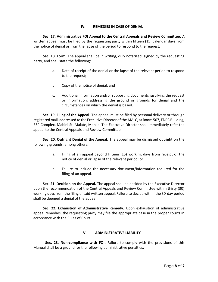# **IV. REMEDIES IN CASE OF DENIAL**

**Sec. 17. Administrative FOI Appeal to the Central Appeals and Review Committee.** A written appeal must be filed by the requesting party within fifteen (15) calendar days from the notice of denial or from the lapse of the period to respond to the request.

**Sec. 18. Form.** The appeal shall be in writing, duly notarized, signed by the requesting party, and shall state the following:

- a. Date of receipt of the denial or the lapse of the relevant period to respond to the request;
- b. Copy of the notice of denial; and
- c. Additional information and/or supporting documents justifying the request or information, addressing the ground or grounds for denial and the circumstances on which the denial is based.

**Sec. 19. Filing of the Appeal.** The appeal must be filed by personal delivery or through registered mail, addressed to the Executive Director of the AMLC, at Room 507, EDPC Building, BSP Complex, Mabini St. Malate, Manila. The Executive Director shall immediately refer the appeal to the Central Appeals and Review Committee.

**Sec. 20. Outright Denial of the Appeal.** The appeal may be dismissed outright on the following grounds, among others:

- a. Filing of an appeal beyond fifteen (15) working days from receipt of the notice of denial or lapse of the relevant period; or
- b. Failure to include the necessary document/information required for the filing of an appeal.

**Sec. 21. Decision on the Appeal.** The appeal shall be decided by the Executive Director upon the recommendation of the Central Appeals and Review Committee within thirty (30) working days from the filing of said written appeal. Failure to decide within the 30-day period shall be deemed a denial of the appeal.

**Sec. 22. Exhaustion of Administrative Remedy.** Upon exhaustion of administrative appeal remedies, the requesting party may file the appropriate case in the proper courts in accordance with the Rules of Court.

# **V. ADMINISTRATIVE LIABILITY**

**Sec. 23. Non-compliance with FOI.** Failure to comply with the provisions of this Manual shall be a ground for the following administrative penalties: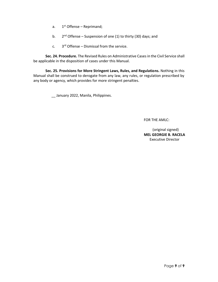- a.  $1<sup>st</sup>$  Offense Reprimand;
- b.  $2^{nd}$  Offense Suspension of one (1) to thirty (30) days; and
- c.  $3<sup>rd</sup>$  Offense Dismissal from the service.

**Sec. 24. Procedure.** The Revised Rules on Administrative Cases in the Civil Service shall be applicable in the disposition of cases under this Manual.

**Sec. 25. Provisions for More Stringent Laws, Rules, and Regulations.** Nothing in this Manual shall be construed to derogate from any law, any rules, or regulation prescribed by any body or agency, which provides for more stringent penalties.

\_\_ January 2022, Manila, Philippines.

FOR THE AMLC:

 (original signed) **MEL GEORGIE B. RACELA** Executive Director